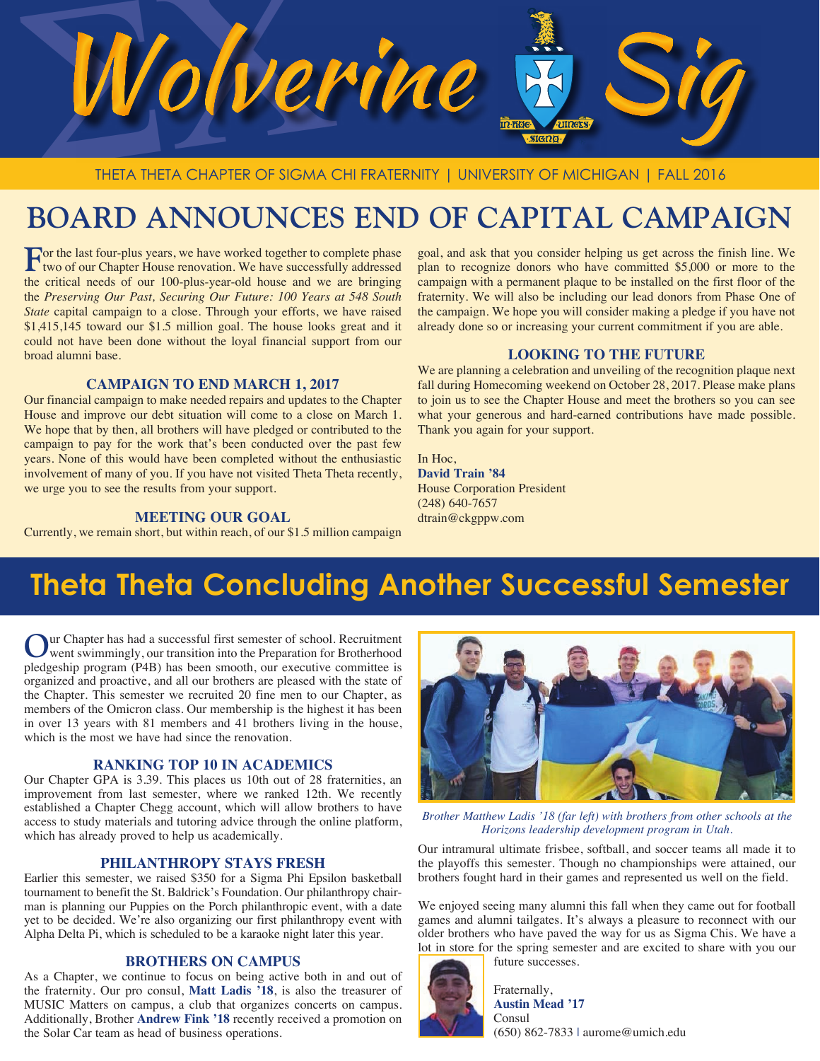

# **BOARD ANNOUNCES END OF CAPITAL CAMPAIGN**

For the last four-plus years, we have worked together to complete phase two of our Chapter House renovation. We have successfully addressed the critical needs of our 100-plus-year-old house and we are bringing the *Preserving Our Past, Securing Our Future: 100 Years at 548 South State* capital campaign to a close. Through your efforts, we have raised \$1,415,145 toward our \$1.5 million goal. The house looks great and it could not have been done without the loyal financial support from our broad alumni base.

#### **CAMPAIGN TO END MARCH 1, 2017**

Our financial campaign to make needed repairs and updates to the Chapter House and improve our debt situation will come to a close on March 1. We hope that by then, all brothers will have pledged or contributed to the campaign to pay for the work that's been conducted over the past few years. None of this would have been completed without the enthusiastic involvement of many of you. If you have not visited Theta Theta recently, we urge you to see the results from your support.

#### **MEETING OUR GOAL**

Currently, we remain short, but within reach, of our \$1.5 million campaign

goal, and ask that you consider helping us get across the finish line. We plan to recognize donors who have committed \$5,000 or more to the campaign with a permanent plaque to be installed on the first floor of the fraternity. We will also be including our lead donors from Phase One of the campaign. We hope you will consider making a pledge if you have not already done so or increasing your current commitment if you are able.

#### **LOOKING TO THE FUTURE**

We are planning a celebration and unveiling of the recognition plaque next fall during Homecoming weekend on October 28, 2017. Please make plans to join us to see the Chapter House and meet the brothers so you can see what your generous and hard-earned contributions have made possible. Thank you again for your support.

In Hoc, **David Train '84** House Corporation President (248) 640-7657 dtrain@ckgppw.com

## **Theta Theta Concluding Another Successful Semester**

**O**ur Chapter has had a successful first semester of school. Recruitment went swimmingly, our transition into the Preparation for Brotherhood pledgeship program (P4B) has been smooth, our executive committee is organized and proactive, and all our brothers are pleased with the state of the Chapter. This semester we recruited 20 fine men to our Chapter, as members of the Omicron class. Our membership is the highest it has been in over 13 years with 81 members and 41 brothers living in the house, which is the most we have had since the renovation.

#### **RANKING TOP 10 IN ACADEMICS**

Our Chapter GPA is 3.39. This places us 10th out of 28 fraternities, an improvement from last semester, where we ranked 12th. We recently established a Chapter Chegg account, which will allow brothers to have access to study materials and tutoring advice through the online platform, which has already proved to help us academically.

#### **PHILANTHROPY STAYS FRESH**

Earlier this semester, we raised \$350 for a Sigma Phi Epsilon basketball tournament to benefit the St. Baldrick's Foundation. Our philanthropy chairman is planning our Puppies on the Porch philanthropic event, with a date yet to be decided. We're also organizing our first philanthropy event with Alpha Delta Pi, which is scheduled to be a karaoke night later this year.

#### **BROTHERS ON CAMPUS**

As a Chapter, we continue to focus on being active both in and out of the fraternity. Our pro consul, **Matt Ladis '18**, is also the treasurer of MUSIC Matters on campus, a club that organizes concerts on campus. Additionally, Brother **Andrew Fink '18** recently received a promotion on the Solar Car team as head of business operations.



*Brother Matthew Ladis '18 (far left) with brothers from other schools at the Horizons leadership development program in Utah.*

Our intramural ultimate frisbee, softball, and soccer teams all made it to the playoffs this semester. Though no championships were attained, our brothers fought hard in their games and represented us well on the field.

We enjoyed seeing many alumni this fall when they came out for football games and alumni tailgates. It's always a pleasure to reconnect with our older brothers who have paved the way for us as Sigma Chis. We have a lot in store for the spring semester and are excited to share with you our future successes.



Fraternally, **Austin Mead '17** Consul (650) 862-7833 | aurome@umich.edu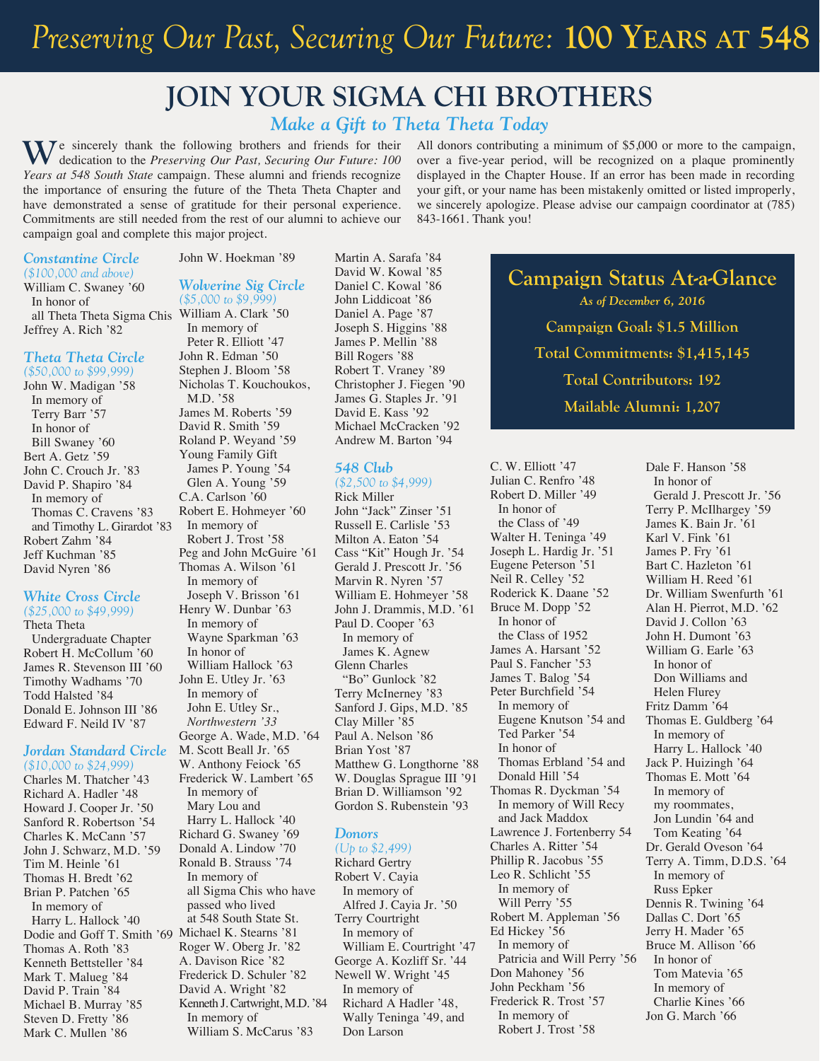# Preserving Our Past, Securing Our Future: **100 YEARS** AT 548

### **JOIN YOUR SIGMA CHI BROTHERS**

#### *Make a Gift to Theta Theta Today*

We sincerely thank the following brothers and friends for their dedication to the *Preserving Our Past, Securing Our Future: 100 Years at 548 South State* campaign. These alumni and friends recognize the importance of ensuring the future of the Theta Theta Chapter and have demonstrated a sense of gratitude for their personal experience. Commitments are still needed from the rest of our alumni to achieve our campaign goal and complete this major project.

*Constantine Circle (\$100,000 and above)*

William C. Swaney '60 In honor of all Theta Theta Sigma Chis William A. Clark '50 Jeffrey A. Rich '82

#### *Theta Theta Circle*

*(\$50,000 to \$99,999)* John W. Madigan '58 In memory of Terry Barr '57 In honor of Bill Swaney '60 Bert A. Getz '59 John C. Crouch Jr. '83 David P. Shapiro '84 In memory of Thomas C. Cravens '83 and Timothy L. Girardot '83 Robert Zahm '84 Jeff Kuchman '85 David Nyren '86

#### *White Cross Circle*

*(\$25,000 to \$49,999)* Theta Theta Undergraduate Chapter Robert H. McCollum '60 James R. Stevenson III '60 Timothy Wadhams '70 Todd Halsted '84 Donald E. Johnson III '86 Edward F. Neild IV '87

#### *Jordan Standard Circle*

*(\$10,000 to \$24,999)* Charles M. Thatcher '43 Richard A. Hadler '48 Howard J. Cooper Jr. '50 Sanford R. Robertson '54 Charles K. McCann '57 John J. Schwarz, M.D. '59 Tim M. Heinle '61 Thomas H. Bredt '62 Brian P. Patchen '65 In memory of Harry L. Hallock '40 Dodie and Goff T. Smith '69 Michael K. Stearns '81 Thomas A. Roth '83 Kenneth Bettsteller '84 Mark T. Malueg '84 David P. Train '84 Michael B. Murray '85 Steven D. Fretty '86 Mark C. Mullen '86

#### *Wolverine Sig Circle (\$5,000 to \$9,999)*

John W. Hoekman '89

In memory of Peter R. Elliott '47 John R. Edman '50 Stephen J. Bloom '58 Nicholas T. Kouchoukos, M.D. '58 James M. Roberts '59 David R. Smith '59 Roland P. Weyand '59 Young Family Gift James P. Young '54 Glen A. Young '59 C.A. Carlson '60 Robert E. Hohmeyer '60 In memory of Robert J. Trost '58 Peg and John McGuire '61 Thomas A. Wilson '61 In memory of Joseph V. Brisson '61 Henry W. Dunbar '63 In memory of Wayne Sparkman '63 In honor of William Hallock '63 John E. Utley Jr. '63 In memory of John E. Utley Sr., *Northwestern '33* George A. Wade, M.D. '64 M. Scott Beall Jr. '65 W. Anthony Feiock '65 Frederick W. Lambert '65 In memory of Mary Lou and Harry L. Hallock '40 Richard G. Swaney '69 Donald A. Lindow '70 Ronald B. Strauss '74 In memory of all Sigma Chis who have passed who lived at 548 South State St. Roger W. Oberg Jr. '82 A. Davison Rice '82 Frederick D. Schuler '82 David A. Wright '82

Kenneth J. Cartwright, M.D. '84

William S. McCarus '83

In memory of

Martin A. Sarafa '84 David W. Kowal '85 Daniel C. Kowal '86 John Liddicoat '86 Daniel A. Page '87 Joseph S. Higgins '88 James P. Mellin '88 Bill Rogers '88 Robert T. Vraney '89 Christopher J. Fiegen '90 James G. Staples Jr. '91 David E. Kass '92 Michael McCracken '92 Andrew M. Barton '94

#### *548 Club*

*(\$2,500 to \$4,999)* Rick Miller John "Jack" Zinser '51 Russell E. Carlisle '53 Milton A. Eaton '54 Cass "Kit" Hough Jr. '54 Gerald J. Prescott Jr. '56 Marvin R. Nyren '57 William E. Hohmeyer '58 John J. Drammis, M.D. '61 Paul D. Cooper '63 In memory of James K. Agnew Glenn Charles "Bo" Gunlock '82 Terry McInerney '83 Sanford J. Gips, M.D. '85 Clay Miller '85 Paul A. Nelson '86 Brian Yost '87 Matthew G. Longthorne '88 W. Douglas Sprague III '91 Brian D. Williamson '92 Gordon S. Rubenstein '93

#### *Donors*

*(Up to \$2,499)* Richard Gertry Robert V. Cayia In memory of Alfred J. Cayia Jr. '50 Terry Courtright In memory of William E. Courtright '47 George A. Kozliff Sr. '44 Newell W. Wright '45 In memory of Richard A Hadler '48, Wally Teninga '49, and Don Larson

All donors contributing a minimum of \$5,000 or more to the campaign, over a five-year period, will be recognized on a plaque prominently displayed in the Chapter House. If an error has been made in recording your gift, or your name has been mistakenly omitted or listed improperly, we sincerely apologize. Please advise our campaign coordinator at (785) 843-1661. Thank you!

> **Campaign Status At-a-Glance** *As of December 6, 2016* **Campaign Goal: \$1.5 Million Total Commitments: \$1,415,145 Total Contributors: 192 Mailable Alumni: 1,207**

C. W. Elliott '47 Julian C. Renfro '48 Robert D. Miller '49 In honor of the Class of '49 Walter H. Teninga '49 Joseph L. Hardig Jr. '51 Eugene Peterson '51 Neil R. Celley '52 Roderick K. Daane '52 Bruce M. Dopp '52 In honor of the Class of 1952 James A. Harsant '52 Paul S. Fancher '53 James T. Balog '54 Peter Burchfield '54 In memory of Eugene Knutson '54 and Ted Parker '54 In honor of Thomas Erbland '54 and Donald Hill '54 Thomas R. Dyckman '54 In memory of Will Recy and Jack Maddox Lawrence J. Fortenberry 54 Charles A. Ritter '54 Phillip R. Jacobus '55 Leo R. Schlicht '55 In memory of Will Perry '55 Robert M. Appleman '56 Ed Hickey '56 In memory of Patricia and Will Perry '56 Don Mahoney '56 John Peckham '56 Frederick R. Trost '57 In memory of Robert J. Trost '58

Dale F. Hanson '58 In honor of Gerald J. Prescott Jr. '56 Terry P. McIlhargey '59 James K. Bain Jr. '61 Karl V. Fink '61 James P. Fry '61 Bart C. Hazleton '61 William H. Reed '61 Dr. William Swenfurth '61 Alan H. Pierrot, M.D. '62 David J. Collon '63 John H. Dumont '63 William G. Earle '63 In honor of Don Williams and Helen Flurey Fritz Damm '64 Thomas E. Guldberg '64 In memory of Harry L. Hallock '40 Jack P. Huizingh '64 Thomas E. Mott '64 In memory of my roommates, Jon Lundin '64 and Tom Keating '64 Dr. Gerald Oveson '64 Terry A. Timm, D.D.S. '64 In memory of Russ Epker Dennis R. Twining '64 Dallas C. Dort '65 Jerry H. Mader '65 Bruce M. Allison '66 In honor of Tom Matevia '65 In memory of Charlie Kines '66 Jon G. March '66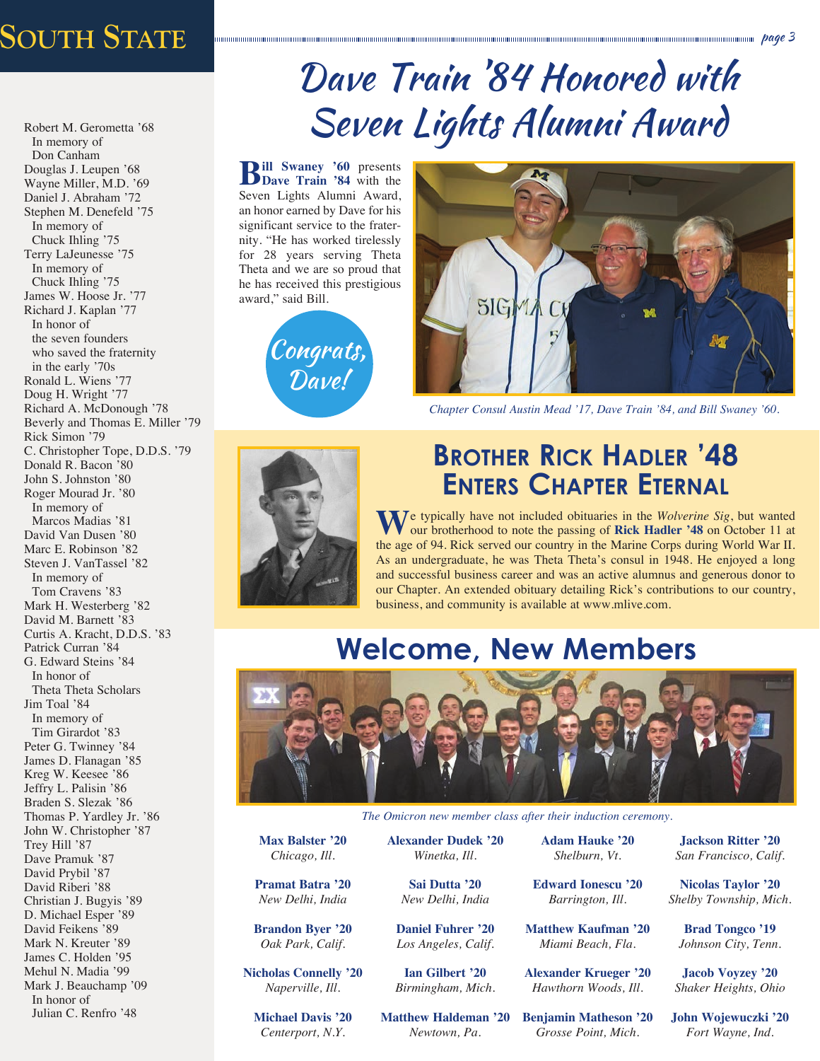# *Preserving Our Past, Securing Our Future:* **100 Years at** University of Michigan page 3 **548 South State**

Robert M. Gerometta '68 In memory of Don Canham Douglas J. Leupen '68 Wayne Miller, M.D. '69 Daniel J. Abraham '72 Stephen M. Denefeld '75 In memory of Chuck Ihling '75 Terry LaJeunesse '75 In memory of Chuck Ihling '75 James W. Hoose Jr. '77 Richard J. Kaplan '77 In honor of the seven founders who saved the fraternity in the early '70s Ronald L. Wiens '77 Doug H. Wright '77 Richard A. McDonough '78 Beverly and Thomas E. Miller '79 Rick Simon '79 C. Christopher Tope, D.D.S. '79 Donald R. Bacon '80 John S. Johnston '80 Roger Mourad Jr. '80 In memory of Marcos Madias '81 David Van Dusen '80 Marc E. Robinson '82 Steven J. VanTassel '82 In memory of Tom Cravens '83 Mark H. Westerberg '82 David M. Barnett '83 Curtis A. Kracht, D.D.S. '83 Patrick Curran '84 G. Edward Steins '84 In honor of Theta Theta Scholars Jim Toal '84 In memory of Tim Girardot '83 Peter G. Twinney '84 James D. Flanagan '85 Kreg W. Keesee '86 Jeffry L. Palisin '86 Braden S. Slezak '86 Thomas P. Yardley Jr. '86 John W. Christopher '87 Trey Hill '87 Dave Pramuk '87 David Prybil '87 David Riberi '88 Christian J. Bugyis '89 D. Michael Esper '89 David Feikens '89 Mark N. Kreuter '89 James C. Holden '95 Mehul N. Madia '99 Mark J. Beauchamp '09

In honor of Julian C. Renfro '48

# Dave Train '84 Honored with Seven Lights Alumni Award

**Bill Swaney '60** presents Seven Lights Alumni Award, an honor earned by Dave for his significant service to the fraternity. "He has worked tirelessly for 28 years serving Theta Theta and we are so proud that he has received this prestigious award," said Bill.





*Chapter Consul Austin Mead '17, Dave Train '84, and Bill Swaney '60.*



### **Brother Rick Hadler '48 Enters Chapter Eternal**

We typically have not included obituaries in the *Wolverine Sig*, but wanted our brotherhood to note the passing of **Rick Hadler '48** on October 11 at the age of 94. Rick served our country in the Marine Corps during World War II. As an undergraduate, he was Theta Theta's consul in 1948. He enjoyed a long and successful business career and was an active alumnus and generous donor to our Chapter. An extended obituary detailing Rick's contributions to our country, business, and community is available at www.mlive.com.

### **Welcome, New Members**



*The Omicron new member class after their induction ceremony.*

**Max Balster '20** *Chicago, Ill.*

**Pramat Batra '20** *New Delhi, India* 

**Brandon Byer '20** *Oak Park, Calif.*

**Nicholas Connelly '20** *Naperville, Ill.*

**Michael Davis '20** *Centerport, N.Y.*

**Alexander Dudek '20** *Winetka, Ill.* 

> **Sai Dutta '20** *New Delhi, India*

**Daniel Fuhrer '20** *Los Angeles, Calif.*

**Ian Gilbert '20** *Birmingham, Mich.*

**Matthew Haldeman '20** *Newtown, Pa.*

**Adam Hauke '20** *Shelburn, Vt.*

**Edward Ionescu '20** *Barrington, Ill.*

**Matthew Kaufman '20** *Miami Beach, Fla.*

**Alexander Krueger '20** *Hawthorn Woods, Ill.*

**Benjamin Matheson '20** *Grosse Point, Mich.*

**Jackson Ritter '20** *San Francisco, Calif.*

**Nicolas Taylor '20** *Shelby Township, Mich.*

**Brad Tongco '19** *Johnson City, Tenn.*

**Jacob Voyzey '20** *Shaker Heights, Ohio*

**John Wojewuczki '20** *Fort Wayne, Ind.*